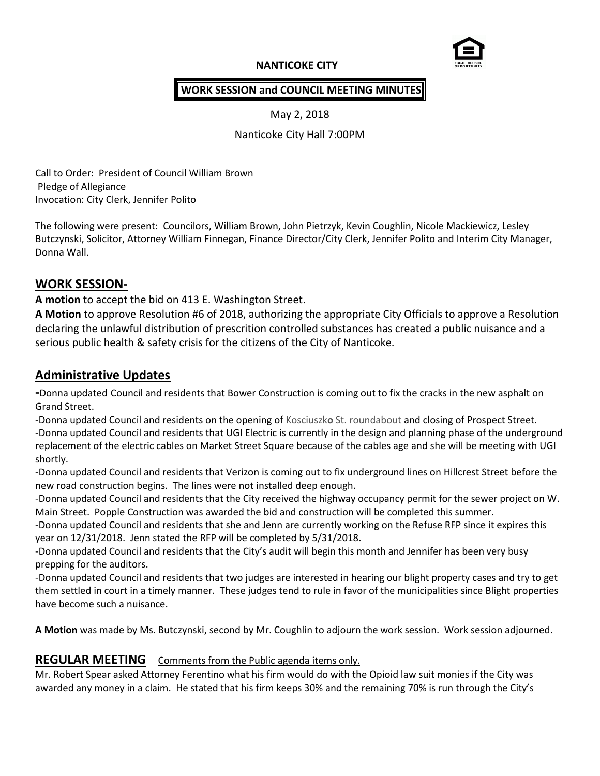## **NANTICOKE CITY**



### **WORK SESSION and COUNCIL MEETING MINUTES**

May 2, 2018

Nanticoke City Hall 7:00PM

Call to Order: President of Council William Brown Pledge of Allegiance Invocation: City Clerk, Jennifer Polito

The following were present: Councilors, William Brown, John Pietrzyk, Kevin Coughlin, Nicole Mackiewicz, Lesley Butczynski, Solicitor, Attorney William Finnegan, Finance Director/City Clerk, Jennifer Polito and Interim City Manager, Donna Wall.

# **WORK SESSION-**

**A motion** to accept the bid on 413 E. Washington Street.

**A Motion** to approve Resolution #6 of 2018, authorizing the appropriate City Officials to approve a Resolution declaring the unlawful distribution of prescrition controlled substances has created a public nuisance and a serious public health & safety crisis for the citizens of the City of Nanticoke.

# **Administrative Updates**

**-**Donna updated Council and residents that Bower Construction is coming out to fix the cracks in the new asphalt on Grand Street.

-Donna updated Council and residents on the opening of Kosciuszk**o** St. roundabout and closing of Prospect Street. -Donna updated Council and residents that UGI Electric is currently in the design and planning phase of the underground replacement of the electric cables on Market Street Square because of the cables age and she will be meeting with UGI shortly.

-Donna updated Council and residents that Verizon is coming out to fix underground lines on Hillcrest Street before the new road construction begins. The lines were not installed deep enough.

-Donna updated Council and residents that the City received the highway occupancy permit for the sewer project on W. Main Street. Popple Construction was awarded the bid and construction will be completed this summer.

-Donna updated Council and residents that she and Jenn are currently working on the Refuse RFP since it expires this year on 12/31/2018. Jenn stated the RFP will be completed by 5/31/2018.

-Donna updated Council and residents that the City's audit will begin this month and Jennifer has been very busy prepping for the auditors.

-Donna updated Council and residents that two judges are interested in hearing our blight property cases and try to get them settled in court in a timely manner. These judges tend to rule in favor of the municipalities since Blight properties have become such a nuisance.

**A Motion** was made by Ms. Butczynski, second by Mr. Coughlin to adjourn the work session. Work session adjourned.

#### **REGULAR MEETING** Comments from the Public agenda items only.

Mr. Robert Spear asked Attorney Ferentino what his firm would do with the Opioid law suit monies if the City was awarded any money in a claim. He stated that his firm keeps 30% and the remaining 70% is run through the City's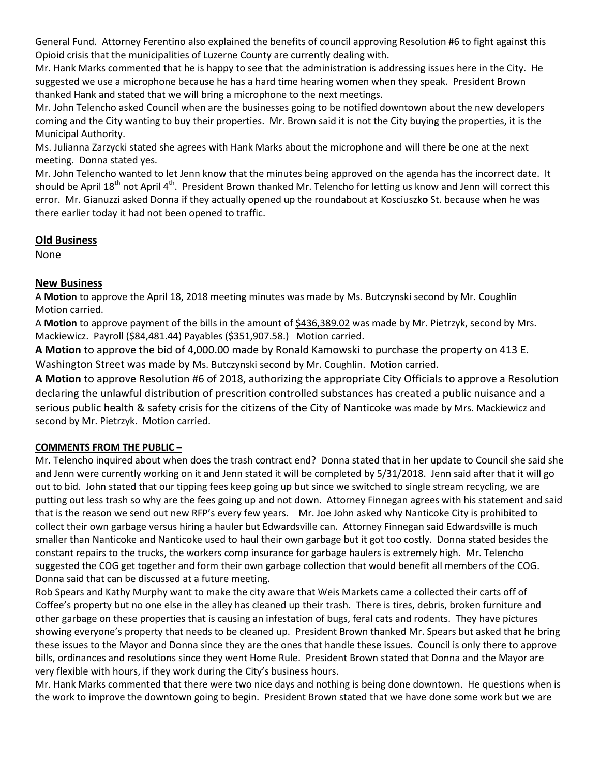General Fund. Attorney Ferentino also explained the benefits of council approving Resolution #6 to fight against this Opioid crisis that the municipalities of Luzerne County are currently dealing with.

Mr. Hank Marks commented that he is happy to see that the administration is addressing issues here in the City. He suggested we use a microphone because he has a hard time hearing women when they speak. President Brown thanked Hank and stated that we will bring a microphone to the next meetings.

Mr. John Telencho asked Council when are the businesses going to be notified downtown about the new developers coming and the City wanting to buy their properties. Mr. Brown said it is not the City buying the properties, it is the Municipal Authority.

Ms. Julianna Zarzycki stated she agrees with Hank Marks about the microphone and will there be one at the next meeting. Donna stated yes.

Mr. John Telencho wanted to let Jenn know that the minutes being approved on the agenda has the incorrect date. It should be April 18<sup>th</sup> not April 4<sup>th</sup>. President Brown thanked Mr. Telencho for letting us know and Jenn will correct this error. Mr. Gianuzzi asked Donna if they actually opened up the roundabout at Kosciuszk**o** St. because when he was there earlier today it had not been opened to traffic.

### **Old Business**

None

### **New Business**

A **Motion** to approve the April 18, 2018 meeting minutes was made by Ms. Butczynski second by Mr. Coughlin Motion carried.

A **Motion** to approve payment of the bills in the amount of \$436,389.02 was made by Mr. Pietrzyk, second by Mrs. Mackiewicz. Payroll (\$84,481.44) Payables (\$351,907.58.) Motion carried.

**A Motion** to approve the bid of 4,000.00 made by Ronald Kamowski to purchase the property on 413 E. Washington Street was made by Ms. Butczynski second by Mr. Coughlin. Motion carried.

**A Motion** to approve Resolution #6 of 2018, authorizing the appropriate City Officials to approve a Resolution declaring the unlawful distribution of prescrition controlled substances has created a public nuisance and a serious public health & safety crisis for the citizens of the City of Nanticoke was made by Mrs. Mackiewicz and second by Mr. Pietrzyk. Motion carried.

#### **COMMENTS FROM THE PUBLIC –**

Mr. Telencho inquired about when does the trash contract end? Donna stated that in her update to Council she said she and Jenn were currently working on it and Jenn stated it will be completed by 5/31/2018. Jenn said after that it will go out to bid. John stated that our tipping fees keep going up but since we switched to single stream recycling, we are putting out less trash so why are the fees going up and not down. Attorney Finnegan agrees with his statement and said that is the reason we send out new RFP's every few years. Mr. Joe John asked why Nanticoke City is prohibited to collect their own garbage versus hiring a hauler but Edwardsville can. Attorney Finnegan said Edwardsville is much smaller than Nanticoke and Nanticoke used to haul their own garbage but it got too costly. Donna stated besides the constant repairs to the trucks, the workers comp insurance for garbage haulers is extremely high. Mr. Telencho suggested the COG get together and form their own garbage collection that would benefit all members of the COG. Donna said that can be discussed at a future meeting.

Rob Spears and Kathy Murphy want to make the city aware that Weis Markets came a collected their carts off of Coffee's property but no one else in the alley has cleaned up their trash. There is tires, debris, broken furniture and other garbage on these properties that is causing an infestation of bugs, feral cats and rodents. They have pictures showing everyone's property that needs to be cleaned up. President Brown thanked Mr. Spears but asked that he bring these issues to the Mayor and Donna since they are the ones that handle these issues. Council is only there to approve bills, ordinances and resolutions since they went Home Rule. President Brown stated that Donna and the Mayor are very flexible with hours, if they work during the City's business hours.

Mr. Hank Marks commented that there were two nice days and nothing is being done downtown. He questions when is the work to improve the downtown going to begin. President Brown stated that we have done some work but we are